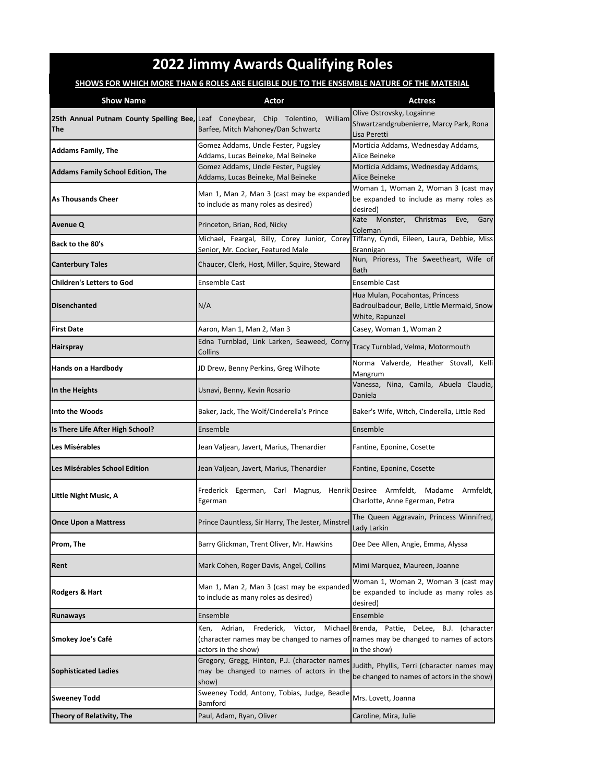## **2022 Jimmy Awards Qualifying Roles**

## **SHOWS FOR WHICH MORE THAN 6 ROLES ARE ELIGIBLE DUE TO THE ENSEMBLE NATURE OF THE MATERIAL**

| <b>Show Name</b>                         | Actor                                                                                                                                                  | <b>Actress</b>                                                                                   |
|------------------------------------------|--------------------------------------------------------------------------------------------------------------------------------------------------------|--------------------------------------------------------------------------------------------------|
| The                                      | 25th Annual Putnam County Spelling Bee, Leaf Coneybear, Chip Tolentino, William<br>Barfee, Mitch Mahoney/Dan Schwartz                                  | Olive Ostrovsky, Logainne<br>Shwartzandgrubenierre, Marcy Park, Rona<br>Lisa Peretti             |
| <b>Addams Family, The</b>                | Gomez Addams, Uncle Fester, Pugsley<br>Addams, Lucas Beineke, Mal Beineke                                                                              | Morticia Addams, Wednesday Addams,<br>Alice Beineke                                              |
| <b>Addams Family School Edition, The</b> | Gomez Addams, Uncle Fester, Pugsley<br>Addams, Lucas Beineke, Mal Beineke                                                                              | Morticia Addams, Wednesday Addams,<br>Alice Beineke                                              |
| <b>As Thousands Cheer</b>                | Man 1, Man 2, Man 3 (cast may be expanded<br>to include as many roles as desired)                                                                      | Woman 1, Woman 2, Woman 3 (cast may<br>be expanded to include as many roles as<br>desired)       |
| <b>Avenue Q</b>                          | Princeton, Brian, Rod, Nicky                                                                                                                           | Kate Monster,<br>Christmas<br>Eve,<br>Gary<br>Coleman                                            |
| Back to the 80's                         | Michael, Feargal, Billy, Corey Junior, Corey Tiffany, Cyndi, Eileen, Laura, Debbie, Miss<br>Senior, Mr. Cocker, Featured Male                          | <b>Brannigan</b>                                                                                 |
| <b>Canterbury Tales</b>                  | Chaucer, Clerk, Host, Miller, Squire, Steward                                                                                                          | Nun, Prioress, The Sweetheart, Wife of<br>Bath                                                   |
| <b>Children's Letters to God</b>         | <b>Ensemble Cast</b>                                                                                                                                   | Ensemble Cast                                                                                    |
| <b>Disenchanted</b>                      | N/A                                                                                                                                                    | Hua Mulan, Pocahontas, Princess<br>Badroulbadour, Belle, Little Mermaid, Snow<br>White, Rapunzel |
| <b>First Date</b>                        | Aaron, Man 1, Man 2, Man 3                                                                                                                             | Casey, Woman 1, Woman 2                                                                          |
| <b>Hairspray</b>                         | Edna Turnblad, Link Larken, Seaweed, Corny<br>Collins                                                                                                  | Tracy Turnblad, Velma, Motormouth                                                                |
| Hands on a Hardbody                      | JD Drew, Benny Perkins, Greg Wilhote                                                                                                                   | Norma Valverde, Heather Stovall, Kelli<br>Mangrum                                                |
| In the Heights                           | Usnavi, Benny, Kevin Rosario                                                                                                                           | Vanessa, Nina, Camila, Abuela Claudia,<br>Daniela                                                |
| Into the Woods                           | Baker, Jack, The Wolf/Cinderella's Prince                                                                                                              | Baker's Wife, Witch, Cinderella, Little Red                                                      |
| Is There Life After High School?         | Ensemble                                                                                                                                               | Ensemble                                                                                         |
| Les Misérables                           | Jean Valjean, Javert, Marius, Thenardier                                                                                                               | Fantine, Eponine, Cosette                                                                        |
| Les Misérables School Edition            | Jean Valjean, Javert, Marius, Thenardier                                                                                                               | Fantine, Eponine, Cosette                                                                        |
| Little Night Music, A                    | Frederick Egerman, Carl Magnus, Henrik Desiree Armfeldt,<br>Egerman                                                                                    | Madame<br>Armfeldt.<br>Charlotte, Anne Egerman, Petra                                            |
| <b>Once Upon a Mattress</b>              | Prince Dauntless, Sir Harry, The Jester, Minstrel                                                                                                      | The Queen Aggravain, Princess Winnifred,<br>Lady Larkin                                          |
| Prom, The                                | Barry Glickman, Trent Oliver, Mr. Hawkins                                                                                                              | Dee Dee Allen, Angie, Emma, Alyssa                                                               |
| Rent                                     | Mark Cohen, Roger Davis, Angel, Collins                                                                                                                | Mimi Marquez, Maureen, Joanne                                                                    |
| Rodgers & Hart                           | Man 1, Man 2, Man 3 (cast may be expanded<br>to include as many roles as desired)                                                                      | Woman 1, Woman 2, Woman 3 (cast may<br>be expanded to include as many roles as<br>desired)       |
| <b>Runaways</b>                          | Ensemble                                                                                                                                               | Ensemble                                                                                         |
| Smokey Joe's Café                        | Frederick,<br>Adrian,<br>Victor,<br>Ken,<br>(character names may be changed to names of names may be changed to names of actors<br>actors in the show) | Michael Brenda, Pattie, DeLee, B.J. (character<br>in the show)                                   |
| <b>Sophisticated Ladies</b>              | Gregory, Gregg, Hinton, P.J. (character names<br>may be changed to names of actors in the<br>show)                                                     | Judith, Phyllis, Terri (character names may<br>be changed to names of actors in the show)        |
| <b>Sweeney Todd</b>                      | Sweeney Todd, Antony, Tobias, Judge, Beadle<br>Bamford                                                                                                 | Mrs. Lovett, Joanna                                                                              |
| Theory of Relativity, The                | Paul, Adam, Ryan, Oliver                                                                                                                               | Caroline, Mira, Julie                                                                            |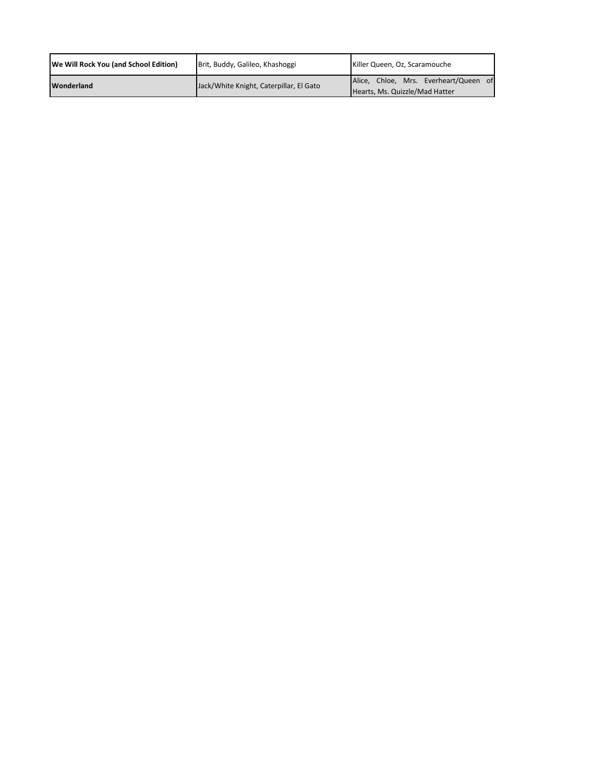| We Will Rock You (and School Edition) | Brit, Buddy, Galileo, Khashoggi         | Killer Queen, Oz, Scaramouche                                           |
|---------------------------------------|-----------------------------------------|-------------------------------------------------------------------------|
| Wonderland                            | Jack/White Knight, Caterpillar, El Gato | Alice, Chloe, Mrs. Everheart/Queen of<br>Hearts, Ms. Quizzle/Mad Hatter |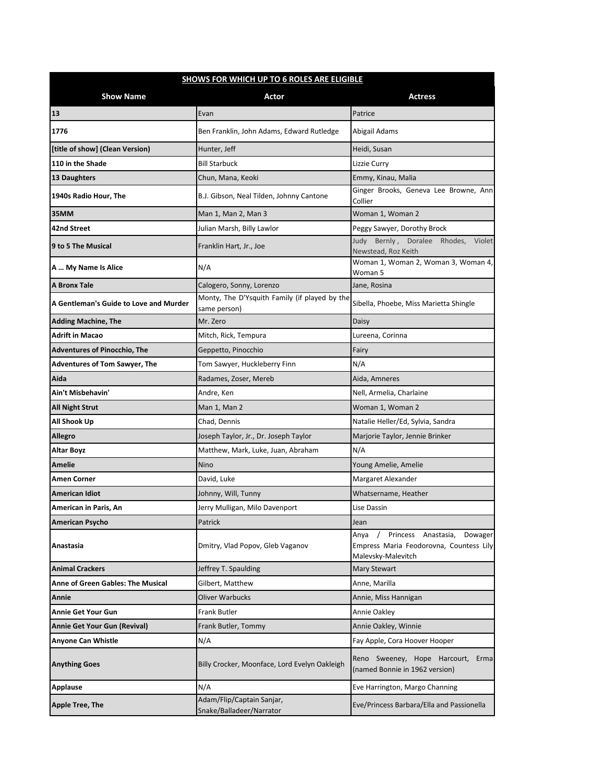| <b>SHOWS FOR WHICH UP TO 6 ROLES ARE ELIGIBLE</b> |                                                               |                                                                                                         |
|---------------------------------------------------|---------------------------------------------------------------|---------------------------------------------------------------------------------------------------------|
| <b>Show Name</b>                                  | Actor                                                         | <b>Actress</b>                                                                                          |
| 13                                                | Evan                                                          | Patrice                                                                                                 |
| 1776                                              | Ben Franklin, John Adams, Edward Rutledge                     | Abigail Adams                                                                                           |
| [title of show] (Clean Version)                   | Hunter, Jeff                                                  | Heidi, Susan                                                                                            |
| 110 in the Shade                                  | Bill Starbuck                                                 | Lizzie Curry                                                                                            |
| 13 Daughters                                      | Chun, Mana, Keoki                                             | Emmy, Kinau, Malia                                                                                      |
| 1940s Radio Hour, The                             | B.J. Gibson, Neal Tilden, Johnny Cantone                      | Ginger Brooks, Geneva Lee Browne, Ann<br>Collier                                                        |
| 35MM                                              | Man 1, Man 2, Man 3                                           | Woman 1, Woman 2                                                                                        |
| 42nd Street                                       | Julian Marsh, Billy Lawlor                                    | Peggy Sawyer, Dorothy Brock                                                                             |
| 9 to 5 The Musical                                | Franklin Hart, Jr., Joe                                       | Judy Bernly, Doralee Rhodes,<br>Violet<br>Newstead, Roz Keith                                           |
| A  My Name Is Alice                               | N/A                                                           | Woman 1, Woman 2, Woman 3, Woman 4,<br>Woman 5                                                          |
| <b>A Bronx Tale</b>                               | Calogero, Sonny, Lorenzo                                      | Jane, Rosina                                                                                            |
| A Gentleman's Guide to Love and Murder            | Monty, The D'Ysquith Family (if played by the<br>same person) | Sibella, Phoebe, Miss Marietta Shingle                                                                  |
| <b>Adding Machine, The</b>                        | Mr. Zero                                                      | Daisy                                                                                                   |
| <b>Adrift in Macao</b>                            | Mitch, Rick, Tempura                                          | Lureena, Corinna                                                                                        |
| <b>Adventures of Pinocchio, The</b>               | Geppetto, Pinocchio                                           | Fairy                                                                                                   |
| <b>Adventures of Tom Sawyer, The</b>              | Tom Sawyer, Huckleberry Finn                                  | N/A                                                                                                     |
| Aida                                              | Radames, Zoser, Mereb                                         | Aida, Amneres                                                                                           |
| Ain't Misbehavin'                                 | Andre, Ken                                                    | Nell, Armelia, Charlaine                                                                                |
| <b>All Night Strut</b>                            | Man 1, Man 2                                                  | Woman 1, Woman 2                                                                                        |
| All Shook Up                                      | Chad, Dennis                                                  | Natalie Heller/Ed, Sylvia, Sandra                                                                       |
| <b>Allegro</b>                                    | Joseph Taylor, Jr., Dr. Joseph Taylor                         | Marjorie Taylor, Jennie Brinker                                                                         |
| <b>Altar Boyz</b>                                 | Matthew, Mark, Luke, Juan, Abraham                            | N/A                                                                                                     |
| Amelie                                            | Nino                                                          | Young Amelie, Amelie                                                                                    |
| <b>Amen Corner</b>                                | David, Luke                                                   | Margaret Alexander                                                                                      |
| American Idiot                                    | Johnny, Will, Tunny                                           | Whatsername, Heather                                                                                    |
| American in Paris, An                             | Jerry Mulligan, Milo Davenport                                | Lise Dassin                                                                                             |
| <b>American Psycho</b>                            | Patrick                                                       | Jean                                                                                                    |
| Anastasia                                         | Dmitry, Vlad Popov, Gleb Vaganov                              | Princess Anastasia,<br>Dowager<br>Anya<br>Empress Maria Feodorovna, Countess Lily<br>Malevsky-Malevitch |
| <b>Animal Crackers</b>                            | Jeffrey T. Spaulding                                          | <b>Mary Stewart</b>                                                                                     |
| <b>Anne of Green Gables: The Musical</b>          | Gilbert, Matthew                                              | Anne, Marilla                                                                                           |
| Annie                                             | Oliver Warbucks                                               | Annie, Miss Hannigan                                                                                    |
| Annie Get Your Gun                                | Frank Butler                                                  | Annie Oakley                                                                                            |
| <b>Annie Get Your Gun (Revival)</b>               | Frank Butler, Tommy                                           | Annie Oakley, Winnie                                                                                    |
| <b>Anyone Can Whistle</b>                         | N/A                                                           | Fay Apple, Cora Hoover Hooper                                                                           |
| <b>Anything Goes</b>                              | Billy Crocker, Moonface, Lord Evelyn Oakleigh                 | Reno Sweeney, Hope Harcourt,<br>Erma<br>(named Bonnie in 1962 version)                                  |
| <b>Applause</b>                                   | N/A                                                           | Eve Harrington, Margo Channing                                                                          |
| Apple Tree, The                                   | Adam/Flip/Captain Sanjar,<br>Snake/Balladeer/Narrator         | Eve/Princess Barbara/Ella and Passionella                                                               |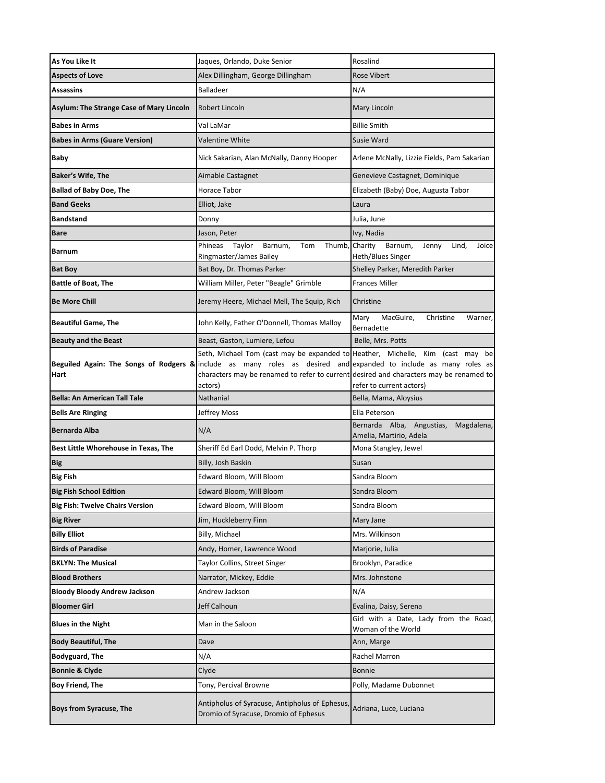| As You Like It                                  | Jaques, Orlando, Duke Senior                                                                                                                                                                                                                                                                            | Rosalind                                                                  |
|-------------------------------------------------|---------------------------------------------------------------------------------------------------------------------------------------------------------------------------------------------------------------------------------------------------------------------------------------------------------|---------------------------------------------------------------------------|
| <b>Aspects of Love</b>                          | Alex Dillingham, George Dillingham                                                                                                                                                                                                                                                                      | <b>Rose Vibert</b>                                                        |
| <b>Assassins</b>                                | Balladeer                                                                                                                                                                                                                                                                                               | N/A                                                                       |
| <b>Asylum: The Strange Case of Mary Lincoln</b> | Robert Lincoln                                                                                                                                                                                                                                                                                          | Mary Lincoln                                                              |
| <b>Babes in Arms</b>                            | Val LaMar                                                                                                                                                                                                                                                                                               | <b>Billie Smith</b>                                                       |
| <b>Babes in Arms (Guare Version)</b>            | Valentine White                                                                                                                                                                                                                                                                                         | Susie Ward                                                                |
| Baby                                            | Nick Sakarian, Alan McNally, Danny Hooper                                                                                                                                                                                                                                                               | Arlene McNally, Lizzie Fields, Pam Sakarian                               |
| <b>Baker's Wife, The</b>                        | Aimable Castagnet                                                                                                                                                                                                                                                                                       | Genevieve Castagnet, Dominique                                            |
| <b>Ballad of Baby Doe, The</b>                  | Horace Tabor                                                                                                                                                                                                                                                                                            | Elizabeth (Baby) Doe, Augusta Tabor                                       |
| <b>Band Geeks</b>                               | Elliot, Jake                                                                                                                                                                                                                                                                                            | Laura                                                                     |
| <b>Bandstand</b>                                | Donny                                                                                                                                                                                                                                                                                                   | Julia, June                                                               |
| <b>Bare</b>                                     | Jason, Peter                                                                                                                                                                                                                                                                                            | Ivy, Nadia                                                                |
| <b>Barnum</b>                                   | Phineas<br>Taylor<br>Tom<br>Barnum,<br>Ringmaster/James Bailey                                                                                                                                                                                                                                          | Thumb, Charity<br>Barnum,<br>Lind,<br>Jenny<br>Joice<br>Heth/Blues Singer |
| <b>Bat Boy</b>                                  | Bat Boy, Dr. Thomas Parker                                                                                                                                                                                                                                                                              | Shelley Parker, Meredith Parker                                           |
| <b>Battle of Boat, The</b>                      | William Miller, Peter "Beagle" Grimble                                                                                                                                                                                                                                                                  | <b>Frances Miller</b>                                                     |
| <b>Be More Chill</b>                            | Jeremy Heere, Michael Mell, The Squip, Rich                                                                                                                                                                                                                                                             | Christine                                                                 |
| <b>Beautiful Game, The</b>                      | John Kelly, Father O'Donnell, Thomas Malloy                                                                                                                                                                                                                                                             | Mary<br>MacGuire,<br>Christine<br>Warner,<br>Bernadette                   |
| <b>Beauty and the Beast</b>                     | Beast, Gaston, Lumiere, Lefou                                                                                                                                                                                                                                                                           | Belle, Mrs. Potts                                                         |
| Hart                                            | Seth, Michael Tom (cast may be expanded to Heather, Michelle, Kim (cast may be<br>Beguiled Again: The Songs of Rodgers & include as many roles as desired and expanded to include as many roles as<br>characters may be renamed to refer to current desired and characters may be renamed to<br>actors) | refer to current actors)                                                  |
| <b>Bella: An American Tall Tale</b>             | Nathanial                                                                                                                                                                                                                                                                                               | Bella, Mama, Aloysius                                                     |
|                                                 |                                                                                                                                                                                                                                                                                                         |                                                                           |
| <b>Bells Are Ringing</b>                        | Jeffrey Moss                                                                                                                                                                                                                                                                                            | Ella Peterson                                                             |
| Bernarda Alba                                   | N/A                                                                                                                                                                                                                                                                                                     | Bernarda Alba, Angustias,<br>Magdalena,<br>Amelia, Martirio, Adela        |
| Best Little Whorehouse in Texas, The            | Sheriff Ed Earl Dodd, Melvin P. Thorp                                                                                                                                                                                                                                                                   | Mona Stangley, Jewel                                                      |
| <b>Big</b>                                      | Billy, Josh Baskin                                                                                                                                                                                                                                                                                      | Susan                                                                     |
| <b>Big Fish</b>                                 | Edward Bloom, Will Bloom                                                                                                                                                                                                                                                                                | Sandra Bloom                                                              |
| <b>Big Fish School Edition</b>                  | Edward Bloom, Will Bloom                                                                                                                                                                                                                                                                                | Sandra Bloom                                                              |
| <b>Big Fish: Twelve Chairs Version</b>          | Edward Bloom, Will Bloom                                                                                                                                                                                                                                                                                | Sandra Bloom                                                              |
| <b>Big River</b>                                | Jim, Huckleberry Finn                                                                                                                                                                                                                                                                                   | Mary Jane                                                                 |
| <b>Billy Elliot</b>                             | Billy, Michael                                                                                                                                                                                                                                                                                          | Mrs. Wilkinson                                                            |
| <b>Birds of Paradise</b>                        | Andy, Homer, Lawrence Wood                                                                                                                                                                                                                                                                              | Marjorie, Julia                                                           |
| <b>BKLYN: The Musical</b>                       | Taylor Collins, Street Singer                                                                                                                                                                                                                                                                           | Brooklyn, Paradice                                                        |
| <b>Blood Brothers</b>                           | Narrator, Mickey, Eddie                                                                                                                                                                                                                                                                                 | Mrs. Johnstone                                                            |
| <b>Bloody Bloody Andrew Jackson</b>             | Andrew Jackson                                                                                                                                                                                                                                                                                          | N/A                                                                       |
| <b>Bloomer Girl</b>                             | Jeff Calhoun                                                                                                                                                                                                                                                                                            | Evalina, Daisy, Serena                                                    |
| <b>Blues in the Night</b>                       | Man in the Saloon                                                                                                                                                                                                                                                                                       | Girl with a Date, Lady from the Road,<br>Woman of the World               |
| <b>Body Beautiful, The</b>                      | Dave                                                                                                                                                                                                                                                                                                    | Ann, Marge                                                                |
| <b>Bodyguard, The</b>                           | N/A                                                                                                                                                                                                                                                                                                     | Rachel Marron                                                             |
| <b>Bonnie &amp; Clyde</b>                       | Clyde                                                                                                                                                                                                                                                                                                   | Bonnie                                                                    |
| <b>Boy Friend, The</b>                          | Tony, Percival Browne                                                                                                                                                                                                                                                                                   | Polly, Madame Dubonnet                                                    |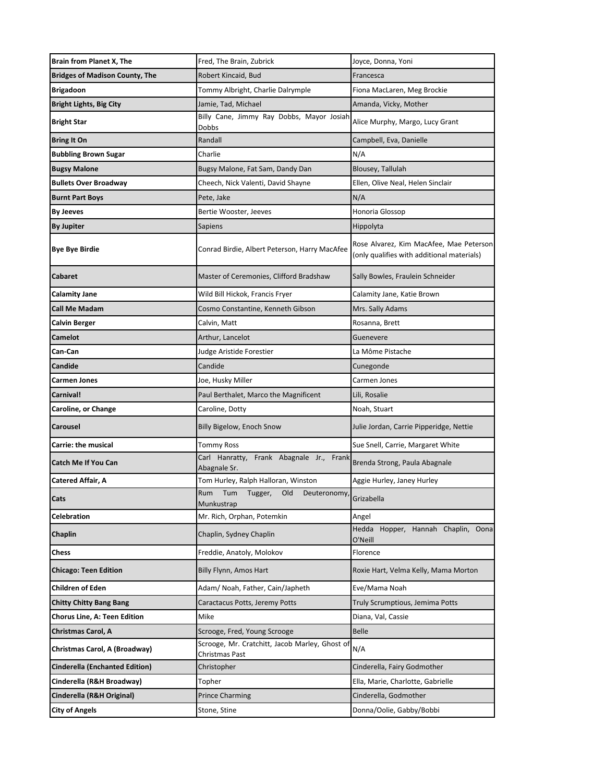| Brain from Planet X, The              | Fred, The Brain, Zubrick                                         | Joyce, Donna, Yoni                                                                    |
|---------------------------------------|------------------------------------------------------------------|---------------------------------------------------------------------------------------|
| <b>Bridges of Madison County, The</b> | Robert Kincaid, Bud                                              | Francesca                                                                             |
| <b>Brigadoon</b>                      | Tommy Albright, Charlie Dalrymple                                | Fiona MacLaren, Meg Brockie                                                           |
| <b>Bright Lights, Big City</b>        | Jamie, Tad, Michael                                              | Amanda, Vicky, Mother                                                                 |
| <b>Bright Star</b>                    | Billy Cane, Jimmy Ray Dobbs, Mayor Josiah<br><b>Dobbs</b>        | Alice Murphy, Margo, Lucy Grant                                                       |
| <b>Bring It On</b>                    | Randall                                                          | Campbell, Eva, Danielle                                                               |
| <b>Bubbling Brown Sugar</b>           | Charlie                                                          | N/A                                                                                   |
| <b>Bugsy Malone</b>                   | Bugsy Malone, Fat Sam, Dandy Dan                                 | Blousey, Tallulah                                                                     |
| <b>Bullets Over Broadway</b>          | Cheech, Nick Valenti, David Shayne                               | Ellen, Olive Neal, Helen Sinclair                                                     |
| <b>Burnt Part Boys</b>                | Pete, Jake                                                       | N/A                                                                                   |
| <b>By Jeeves</b>                      | Bertie Wooster, Jeeves                                           | Honoria Glossop                                                                       |
| By Jupiter                            | Sapiens                                                          | Hippolyta                                                                             |
| Bye Bye Birdie                        | Conrad Birdie, Albert Peterson, Harry MacAfee                    | Rose Alvarez, Kim MacAfee, Mae Peterson<br>(only qualifies with additional materials) |
| Cabaret                               | Master of Ceremonies, Clifford Bradshaw                          | Sally Bowles, Fraulein Schneider                                                      |
| Calamity Jane                         | Wild Bill Hickok, Francis Fryer                                  | Calamity Jane, Katie Brown                                                            |
| <b>Call Me Madam</b>                  | Cosmo Constantine, Kenneth Gibson                                | Mrs. Sally Adams                                                                      |
| Calvin Berger                         | Calvin, Matt                                                     | Rosanna, Brett                                                                        |
| Camelot                               | Arthur, Lancelot                                                 | Guenevere                                                                             |
| Can-Can                               | Judge Aristide Forestier                                         | La Môme Pistache                                                                      |
| Candide                               | Candide                                                          | Cunegonde                                                                             |
| Carmen Jones                          | Joe, Husky Miller                                                | Carmen Jones                                                                          |
| Carnival!                             | Paul Berthalet, Marco the Magnificent                            | Lili, Rosalie                                                                         |
| Caroline, or Change                   | Caroline, Dotty                                                  | Noah, Stuart                                                                          |
| Carousel                              | Billy Bigelow, Enoch Snow                                        | Julie Jordan, Carrie Pipperidge, Nettie                                               |
| Carrie: the musical                   | <b>Tommy Ross</b>                                                | Sue Snell, Carrie, Margaret White                                                     |
| Catch Me If You Can                   | Carl Hanratty, Frank Abagnale Jr., Frank<br>Abagnale Sr.         | Brenda Strong, Paula Abagnale                                                         |
| Catered Affair, A                     | Tom Hurley, Ralph Halloran, Winston                              | Aggie Hurley, Janey Hurley                                                            |
| Cats                                  | Rum<br>Tum<br>Tugger,<br>Old<br>Deuteronomy,<br>Munkustrap       | Grizabella                                                                            |
| Celebration                           | Mr. Rich, Orphan, Potemkin                                       | Angel                                                                                 |
| Chaplin                               | Chaplin, Sydney Chaplin                                          | Hedda Hopper, Hannah Chaplin,<br>Oona<br>O'Neill                                      |
| Chess                                 | Freddie, Anatoly, Molokov                                        | Florence                                                                              |
| Chicago: Teen Edition                 | Billy Flynn, Amos Hart                                           | Roxie Hart, Velma Kelly, Mama Morton                                                  |
| Children of Eden                      | Adam/ Noah, Father, Cain/Japheth                                 | Eve/Mama Noah                                                                         |
| <b>Chitty Chitty Bang Bang</b>        | Caractacus Potts, Jeremy Potts                                   | Truly Scrumptious, Jemima Potts                                                       |
| <b>Chorus Line, A: Teen Edition</b>   | Mike                                                             | Diana, Val, Cassie                                                                    |
| Christmas Carol, A                    | Scrooge, Fred, Young Scrooge                                     | <b>Belle</b>                                                                          |
| Christmas Carol, A (Broadway)         | Scrooge, Mr. Cratchitt, Jacob Marley, Ghost of<br>Christmas Past | N/A                                                                                   |
| <b>Cinderella (Enchanted Edition)</b> | Christopher                                                      | Cinderella, Fairy Godmother                                                           |
| Cinderella (R&H Broadway)             | Topher                                                           | Ella, Marie, Charlotte, Gabrielle                                                     |
| Cinderella (R&H Original)             | <b>Prince Charming</b>                                           | Cinderella, Godmother                                                                 |
| <b>City of Angels</b>                 | Stone, Stine                                                     | Donna/Oolie, Gabby/Bobbi                                                              |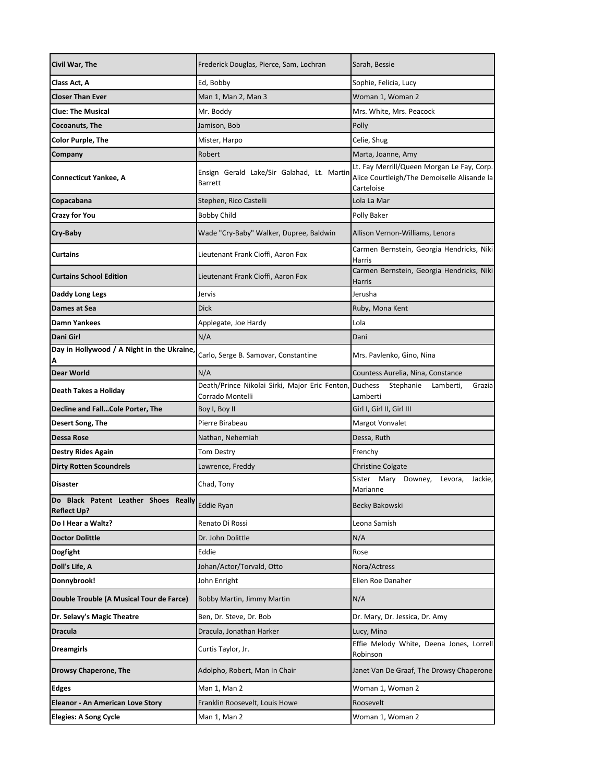| Civil War, The                                             | Frederick Douglas, Pierce, Sam, Lochran                            | Sarah, Bessie                                                                                           |
|------------------------------------------------------------|--------------------------------------------------------------------|---------------------------------------------------------------------------------------------------------|
| Class Act, A                                               | Ed, Bobby                                                          | Sophie, Felicia, Lucy                                                                                   |
| <b>Closer Than Ever</b>                                    | Man 1, Man 2, Man 3                                                | Woman 1, Woman 2                                                                                        |
| Clue: The Musical                                          | Mr. Boddy                                                          | Mrs. White, Mrs. Peacock                                                                                |
| Cocoanuts, The                                             | Jamison, Bob                                                       | Polly                                                                                                   |
| Color Purple, The                                          | Mister, Harpo                                                      | Celie, Shug                                                                                             |
| Company                                                    | Robert                                                             | Marta, Joanne, Amy                                                                                      |
| Connecticut Yankee, A                                      | Ensign Gerald Lake/Sir Galahad, Lt. Martir<br><b>Barrett</b>       | Lt. Fay Merrill/Queen Morgan Le Fay, Corp.<br>Alice Courtleigh/The Demoiselle Alisande la<br>Carteloise |
| Copacabana                                                 | Stephen, Rico Castelli                                             | Lola La Mar                                                                                             |
| Crazy for You                                              | <b>Bobby Child</b>                                                 | Polly Baker                                                                                             |
| Cry-Baby                                                   | Wade "Cry-Baby" Walker, Dupree, Baldwin                            | Allison Vernon-Williams, Lenora                                                                         |
| Curtains                                                   | Lieutenant Frank Cioffi, Aaron Fox                                 | Carmen Bernstein, Georgia Hendricks, Niki<br>Harris                                                     |
| <b>Curtains School Edition</b>                             | Lieutenant Frank Cioffi, Aaron Fox                                 | Carmen Bernstein, Georgia Hendricks, Niki<br>Harris                                                     |
| Daddy Long Legs                                            | Jervis                                                             | Jerusha                                                                                                 |
| Dames at Sea                                               | Dick                                                               | Ruby, Mona Kent                                                                                         |
| Damn Yankees                                               | Applegate, Joe Hardy                                               | Lola                                                                                                    |
| Dani Girl                                                  | N/A                                                                | Dani                                                                                                    |
| Day in Hollywood / A Night in the Ukraine,<br>A            | Carlo, Serge B. Samovar, Constantine                               | Mrs. Pavlenko, Gino, Nina                                                                               |
| <b>Dear World</b>                                          | N/A                                                                | Countess Aurelia, Nina, Constance                                                                       |
| Death Takes a Holiday                                      | Death/Prince Nikolai Sirki, Major Eric Fenton,<br>Corrado Montelli | <b>Duchess</b><br>Stephanie<br>Grazia<br>Lamberti,<br>Lamberti                                          |
| <b>Decline and FallCole Porter, The</b>                    | Boy I, Boy II                                                      | Girl I, Girl II, Girl III                                                                               |
| Desert Song, The                                           | Pierre Birabeau                                                    | Margot Vonvalet                                                                                         |
| Dessa Rose                                                 | Nathan, Nehemiah                                                   | Dessa, Ruth                                                                                             |
| Destry Rides Again                                         | <b>Tom Destry</b>                                                  | Frenchy                                                                                                 |
| <b>Dirty Rotten Scoundrels</b>                             | Lawrence, Freddy                                                   | <b>Christine Colgate</b>                                                                                |
| Disaster                                                   | Chad, Tony                                                         | Sister Mary Downey,<br>Jackie,<br>Levora,<br>Marianne                                                   |
| Do Black Patent Leather Shoes Really<br><b>Reflect Up?</b> | <b>Eddie Ryan</b>                                                  | <b>Becky Bakowski</b>                                                                                   |
| Do I Hear a Waltz?                                         | Renato Di Rossi                                                    | Leona Samish                                                                                            |
| <b>Doctor Dolittle</b>                                     | Dr. John Dolittle                                                  | N/A                                                                                                     |
| Dogfight                                                   | Eddie                                                              | Rose                                                                                                    |
| Doll's Life, A                                             | Johan/Actor/Torvald, Otto                                          | Nora/Actress                                                                                            |
| Donnybrook!                                                | John Enright                                                       | Ellen Roe Danaher                                                                                       |
| Double Trouble (A Musical Tour de Farce)                   | Bobby Martin, Jimmy Martin                                         | N/A                                                                                                     |
| Dr. Selavy's Magic Theatre                                 | Ben, Dr. Steve, Dr. Bob                                            | Dr. Mary, Dr. Jessica, Dr. Amy                                                                          |
| Dracula                                                    | Dracula, Jonathan Harker                                           | Lucy, Mina                                                                                              |
| Dreamgirls                                                 | Curtis Taylor, Jr.                                                 | Effie Melody White, Deena Jones, Lorrell<br>Robinson                                                    |
| Drowsy Chaperone, The                                      | Adolpho, Robert, Man In Chair                                      | Janet Van De Graaf, The Drowsy Chaperone                                                                |
| Edges                                                      | Man 1, Man 2                                                       | Woman 1, Woman 2                                                                                        |
| <b>Eleanor - An American Love Story</b>                    | Franklin Roosevelt, Louis Howe                                     | Roosevelt                                                                                               |
| <b>Elegies: A Song Cycle</b>                               | Man 1, Man 2                                                       | Woman 1, Woman 2                                                                                        |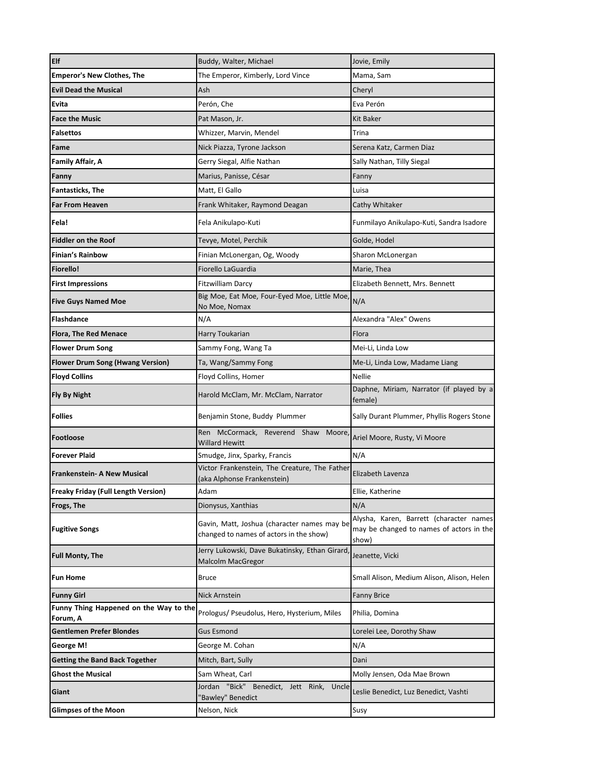| Elf                                                | Buddy, Walter, Michael                                                                 | Jovie, Emily                                                                                 |
|----------------------------------------------------|----------------------------------------------------------------------------------------|----------------------------------------------------------------------------------------------|
| <b>Emperor's New Clothes, The</b>                  | The Emperor, Kimberly, Lord Vince                                                      | Mama, Sam                                                                                    |
| <b>Evil Dead the Musical</b>                       | Ash                                                                                    | Cheryl                                                                                       |
| Evita                                              | Perón, Che                                                                             | Eva Perón                                                                                    |
| <b>Face the Music</b>                              | Pat Mason, Jr.                                                                         | Kit Baker                                                                                    |
| <b>Falsettos</b>                                   | Whizzer, Marvin, Mendel                                                                | Trina                                                                                        |
| Fame                                               | Nick Piazza, Tyrone Jackson                                                            | Serena Katz, Carmen Diaz                                                                     |
| Family Affair, A                                   | Gerry Siegal, Alfie Nathan                                                             | Sally Nathan, Tilly Siegal                                                                   |
| Fanny                                              | Marius, Panisse, César                                                                 | Fanny                                                                                        |
| <b>Fantasticks, The</b>                            | Matt, El Gallo                                                                         | Luisa                                                                                        |
| <b>Far From Heaven</b>                             | Frank Whitaker, Raymond Deagan                                                         | Cathy Whitaker                                                                               |
| Fela!                                              | Fela Anikulapo-Kuti                                                                    | Funmilayo Anikulapo-Kuti, Sandra Isadore                                                     |
| <b>Fiddler on the Roof</b>                         | Tevye, Motel, Perchik                                                                  | Golde, Hodel                                                                                 |
| <b>Finian's Rainbow</b>                            | Finian McLonergan, Og, Woody                                                           | Sharon McLonergan                                                                            |
| <b>Fiorello!</b>                                   | Fiorello LaGuardia                                                                     | Marie, Thea                                                                                  |
| <b>First Impressions</b>                           | Fitzwilliam Darcy                                                                      | Elizabeth Bennett, Mrs. Bennett                                                              |
| <b>Five Guys Named Moe</b>                         | Big Moe, Eat Moe, Four-Eyed Moe, Little Moe,<br>No Moe, Nomax                          | N/A                                                                                          |
| <b>Flashdance</b>                                  | N/A                                                                                    | Alexandra "Alex" Owens                                                                       |
| <b>Flora, The Red Menace</b>                       | Harry Toukarian                                                                        | Flora                                                                                        |
| <b>Flower Drum Song</b>                            | Sammy Fong, Wang Ta                                                                    | Mei-Li, Linda Low                                                                            |
| <b>Flower Drum Song (Hwang Version)</b>            | Ta, Wang/Sammy Fong                                                                    | Me-Li, Linda Low, Madame Liang                                                               |
| <b>Floyd Collins</b>                               | Floyd Collins, Homer                                                                   | <b>Nellie</b>                                                                                |
| <b>Fly By Night</b>                                | Harold McClam, Mr. McClam, Narrator                                                    | Daphne, Miriam, Narrator (if played by a<br>female)                                          |
| <b>Follies</b>                                     | Benjamin Stone, Buddy Plummer                                                          | Sally Durant Plummer, Phyllis Rogers Stone                                                   |
| <b>Footloose</b>                                   | Ren McCormack, Reverend Shaw Moore<br>Willard Hewitt                                   | Ariel Moore, Rusty, Vi Moore                                                                 |
| <b>Forever Plaid</b>                               | Smudge, Jinx, Sparky, Francis                                                          | N/A                                                                                          |
| <b>Frankenstein- A New Musical</b>                 | Victor Frankenstein, The Creature, The Father<br>aka Alphonse Frankenstein)            | Elizabeth Lavenza                                                                            |
| <b>Freaky Friday (Full Length Version)</b>         | Adam                                                                                   | Ellie, Katherine                                                                             |
| <b>Frogs, The</b>                                  | Dionysus, Xanthias                                                                     | N/A                                                                                          |
| <b>Fugitive Songs</b>                              | Gavin, Matt, Joshua (character names may be<br>changed to names of actors in the show) | Alysha, Karen, Barrett (character names<br>may be changed to names of actors in the<br>show) |
| <b>Full Monty, The</b>                             | Jerry Lukowski, Dave Bukatinsky, Ethan Girard<br><b>Malcolm MacGregor</b>              | Jeanette, Vicki                                                                              |
| <b>Fun Home</b>                                    | Bruce                                                                                  | Small Alison, Medium Alison, Alison, Helen                                                   |
| <b>Funny Girl</b>                                  | Nick Arnstein                                                                          | <b>Fanny Brice</b>                                                                           |
| Funny Thing Happened on the Way to the<br>Forum, A | Prologus/ Pseudolus, Hero, Hysterium, Miles                                            | Philia, Domina                                                                               |
| <b>Gentlemen Prefer Blondes</b>                    | <b>Gus Esmond</b>                                                                      | Lorelei Lee, Dorothy Shaw                                                                    |
| George M!                                          | George M. Cohan                                                                        | N/A                                                                                          |
| <b>Getting the Band Back Together</b>              |                                                                                        |                                                                                              |
| <b>Ghost the Musical</b>                           | Mitch, Bart, Sully                                                                     | Dani                                                                                         |
|                                                    | Sam Wheat, Carl                                                                        | Molly Jensen, Oda Mae Brown                                                                  |
| Giant                                              | Jordan "Bick" Benedict, Jett Rink, Uncle<br>'Bawley" Benedict                          | Leslie Benedict, Luz Benedict, Vashti                                                        |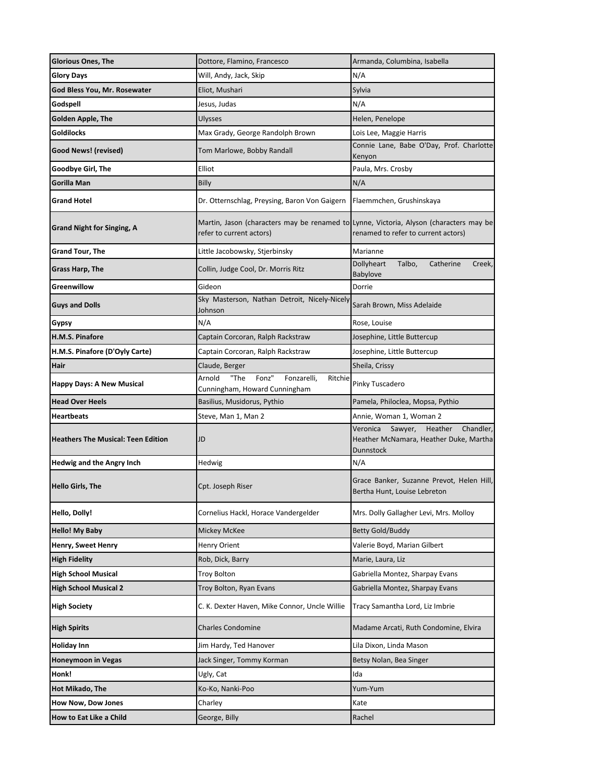| <b>Glorious Ones, The</b>          | Dottore, Flamino, Francesco                                                                                        | Armanda, Columbina, Isabella                                                                       |
|------------------------------------|--------------------------------------------------------------------------------------------------------------------|----------------------------------------------------------------------------------------------------|
| Glory Days                         | Will, Andy, Jack, Skip                                                                                             | N/A                                                                                                |
| God Bless You, Mr. Rosewater       | Eliot, Mushari                                                                                                     | Sylvia                                                                                             |
| Godspell                           | Jesus, Judas                                                                                                       | N/A                                                                                                |
| Golden Apple, The                  | Ulysses                                                                                                            | Helen, Penelope                                                                                    |
| Goldilocks                         | Max Grady, George Randolph Brown                                                                                   | Lois Lee, Maggie Harris                                                                            |
| Good News! (revised)               | Tom Marlowe, Bobby Randall                                                                                         | Connie Lane, Babe O'Day, Prof. Charlotte<br>Kenyon                                                 |
| Goodbye Girl, The                  | Elliot                                                                                                             | Paula, Mrs. Crosby                                                                                 |
| Gorilla Man                        | Billy                                                                                                              | N/A                                                                                                |
| Grand Hotel                        | Dr. Otternschlag, Preysing, Baron Von Gaigern                                                                      | Flaemmchen, Grushinskaya                                                                           |
| <b>Grand Night for Singing, A</b>  | Martin, Jason (characters may be renamed to Lynne, Victoria, Alyson (characters may be<br>refer to current actors) | renamed to refer to current actors)                                                                |
| <b>Grand Tour, The</b>             | Little Jacobowsky, Stjerbinsky                                                                                     | Marianne                                                                                           |
| Grass Harp, The                    | Collin, Judge Cool, Dr. Morris Ritz                                                                                | Dollyheart<br>Talbo,<br>Catherine<br>Creek,<br>Babylove                                            |
| Greenwillow                        | Gideon                                                                                                             | Dorrie                                                                                             |
| <b>Guys and Dolls</b>              | Sky Masterson, Nathan Detroit, Nicely-Nicely<br>Johnson                                                            | Sarah Brown, Miss Adelaide                                                                         |
| Gypsy                              | N/A                                                                                                                | Rose, Louise                                                                                       |
| H.M.S. Pinafore                    | Captain Corcoran, Ralph Rackstraw                                                                                  | Josephine, Little Buttercup                                                                        |
| H.M.S. Pinafore (D'Oyly Carte)     | Captain Corcoran, Ralph Rackstraw                                                                                  | Josephine, Little Buttercup                                                                        |
| Hair                               | Claude, Berger                                                                                                     | Sheila, Crissy                                                                                     |
| Happy Days: A New Musical          | Arnold<br>"The<br>Fonz"<br>Fonzarelli,<br>Ritchie<br>Cunningham, Howard Cunningham                                 | Pinky Tuscadero                                                                                    |
| <b>Head Over Heels</b>             | Basilius, Musidorus, Pythio                                                                                        | Pamela, Philoclea, Mopsa, Pythio                                                                   |
| Heartbeats                         | Steve, Man 1, Man 2                                                                                                | Annie, Woman 1, Woman 2                                                                            |
| Heathers The Musical: Teen Edition | JD                                                                                                                 | Veronica<br>Sawyer,<br>Heather<br>Chandler,<br>Heather McNamara, Heather Duke, Martha<br>Dunnstock |
| Hedwig and the Angry Inch          | Hedwig                                                                                                             | N/A                                                                                                |
| Hello Girls, The                   | Cpt. Joseph Riser                                                                                                  | Grace Banker, Suzanne Prevot, Helen Hill,<br>Bertha Hunt, Louise Lebreton                          |
| Hello, Dolly!                      | Cornelius Hackl, Horace Vandergelder                                                                               | Mrs. Dolly Gallagher Levi, Mrs. Molloy                                                             |
| Hello! My Baby                     | Mickey McKee                                                                                                       | <b>Betty Gold/Buddy</b>                                                                            |
| Henry, Sweet Henry                 | <b>Henry Orient</b>                                                                                                | Valerie Boyd, Marian Gilbert                                                                       |
| <b>High Fidelity</b>               | Rob, Dick, Barry                                                                                                   | Marie, Laura, Liz                                                                                  |
| <b>High School Musical</b>         | <b>Troy Bolton</b>                                                                                                 | Gabriella Montez, Sharpay Evans                                                                    |
| <b>High School Musical 2</b>       | Troy Bolton, Ryan Evans                                                                                            | Gabriella Montez, Sharpay Evans                                                                    |
| High Society                       | C. K. Dexter Haven, Mike Connor, Uncle Willie                                                                      | Tracy Samantha Lord, Liz Imbrie                                                                    |
| High Spirits                       | <b>Charles Condomine</b>                                                                                           | Madame Arcati, Ruth Condomine, Elvira                                                              |
| Holiday Inn                        | Jim Hardy, Ted Hanover                                                                                             | Lila Dixon, Linda Mason                                                                            |
| Honeymoon in Vegas                 | Jack Singer, Tommy Korman                                                                                          | Betsy Nolan, Bea Singer                                                                            |
| Honk!                              | Ugly, Cat                                                                                                          | Ida                                                                                                |
| Hot Mikado, The                    | Ko-Ko, Nanki-Poo                                                                                                   | Yum-Yum                                                                                            |
| <b>How Now, Dow Jones</b>          | Charley                                                                                                            | Kate                                                                                               |
| How to Eat Like a Child            | George, Billy                                                                                                      | Rachel                                                                                             |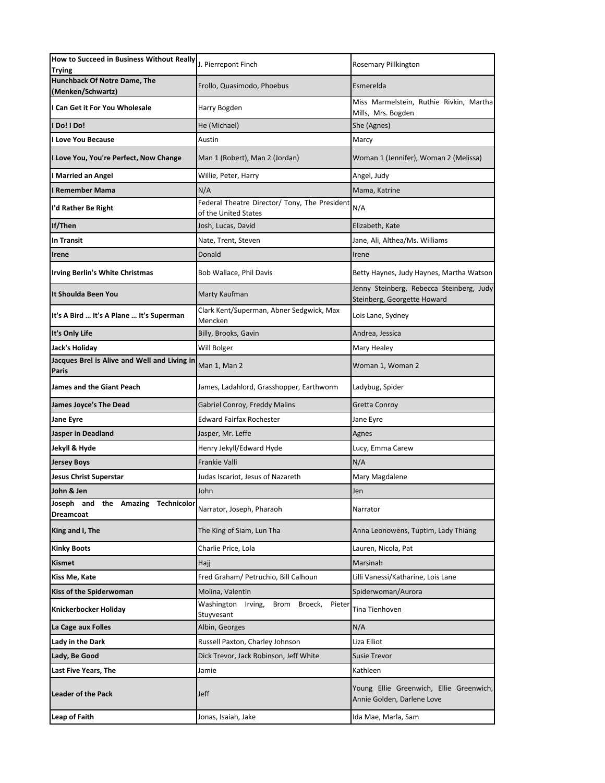| How to Succeed in Business Without Really<br>Trying       | J. Pierrepont Finch                                                   | Rosemary Pillkington                                                    |
|-----------------------------------------------------------|-----------------------------------------------------------------------|-------------------------------------------------------------------------|
| Hunchback Of Notre Dame, The<br>(Menken/Schwartz)         | Frollo, Quasimodo, Phoebus                                            | Esmerelda                                                               |
| I Can Get it For You Wholesale                            | Harry Bogden                                                          | Miss Marmelstein, Ruthie Rivkin, Martha<br>Mills, Mrs. Bogden           |
| l Do! I Do!                                               | He (Michael)                                                          | She (Agnes)                                                             |
| l Love You Because                                        | Austin                                                                | Marcy                                                                   |
| I Love You, You're Perfect, Now Change                    | Man 1 (Robert), Man 2 (Jordan)                                        | Woman 1 (Jennifer), Woman 2 (Melissa)                                   |
| I Married an Angel                                        | Willie, Peter, Harry                                                  | Angel, Judy                                                             |
| I Remember Mama                                           | N/A                                                                   | Mama, Katrine                                                           |
| I'd Rather Be Right                                       | Federal Theatre Director/ Tony, The President<br>of the United States | N/A                                                                     |
| If/Then                                                   | Josh, Lucas, David                                                    | Elizabeth, Kate                                                         |
| <b>In Transit</b>                                         | Nate, Trent, Steven                                                   | Jane, Ali, Althea/Ms. Williams                                          |
| Irene                                                     | Donald                                                                | Irene                                                                   |
| Irving Berlin's White Christmas                           | Bob Wallace, Phil Davis                                               | Betty Haynes, Judy Haynes, Martha Watson                                |
| It Shoulda Been You                                       | Marty Kaufman                                                         | Jenny Steinberg, Rebecca Steinberg, Judy<br>Steinberg, Georgette Howard |
| It's A Bird  It's A Plane  It's Superman                  | Clark Kent/Superman, Abner Sedgwick, Max<br>Mencken                   | Lois Lane, Sydney                                                       |
| It's Only Life                                            | Billy, Brooks, Gavin                                                  | Andrea, Jessica                                                         |
| Jack's Holiday                                            | Will Bolger                                                           | Mary Healey                                                             |
| Jacques Brel is Alive and Well and Living in<br>Paris     | Man 1, Man 2                                                          | Woman 1, Woman 2                                                        |
| James and the Giant Peach                                 | James, Ladahlord, Grasshopper, Earthworm                              | Ladybug, Spider                                                         |
| James Joyce's The Dead                                    | Gabriel Conroy, Freddy Malins                                         | Gretta Conroy                                                           |
| Jane Eyre                                                 | <b>Edward Fairfax Rochester</b>                                       | Jane Eyre                                                               |
| Jasper in Deadland                                        | Jasper, Mr. Leffe                                                     | Agnes                                                                   |
| Jekyll & Hyde                                             | Henry Jekyll/Edward Hyde                                              | Lucy, Emma Carew                                                        |
| <b>Jersey Boys</b>                                        | Frankie Valli                                                         | N/A                                                                     |
| Jesus Christ Superstar                                    | Judas Iscariot, Jesus of Nazareth                                     | Mary Magdalene                                                          |
| John & Jen                                                | John                                                                  | Jen                                                                     |
| Joseph and the Amazing<br><b>Technicolor</b><br>Dreamcoat | Narrator, Joseph, Pharaoh                                             | Narrator                                                                |
| King and I, The                                           | The King of Siam, Lun Tha                                             | Anna Leonowens, Tuptim, Lady Thiang                                     |
| <b>Kinky Boots</b>                                        | Charlie Price, Lola                                                   | Lauren, Nicola, Pat                                                     |
| Kismet                                                    | Hajj                                                                  | Marsinah                                                                |
| Kiss Me, Kate                                             | Fred Graham/ Petruchio, Bill Calhoun                                  | Lilli Vanessi/Katharine, Lois Lane                                      |
| Kiss of the Spiderwoman                                   | Molina, Valentin                                                      | Spiderwoman/Aurora                                                      |
| Knickerbocker Holiday                                     | Washington Irving,<br>Brom Broeck, Pieter<br>Stuyvesant               | Tina Tienhoven                                                          |
| La Cage aux Folles                                        | Albin, Georges                                                        | N/A                                                                     |
| Lady in the Dark                                          | Russell Paxton, Charley Johnson                                       | Liza Elliot                                                             |
| Lady, Be Good                                             | Dick Trevor, Jack Robinson, Jeff White                                | Susie Trevor                                                            |
| Last Five Years, The                                      | Jamie                                                                 | Kathleen                                                                |
| <b>Leader of the Pack</b>                                 | Jeff                                                                  | Young Ellie Greenwich, Ellie Greenwich,<br>Annie Golden, Darlene Love   |
| Leap of Faith                                             | Jonas, Isaiah, Jake                                                   | Ida Mae, Marla, Sam                                                     |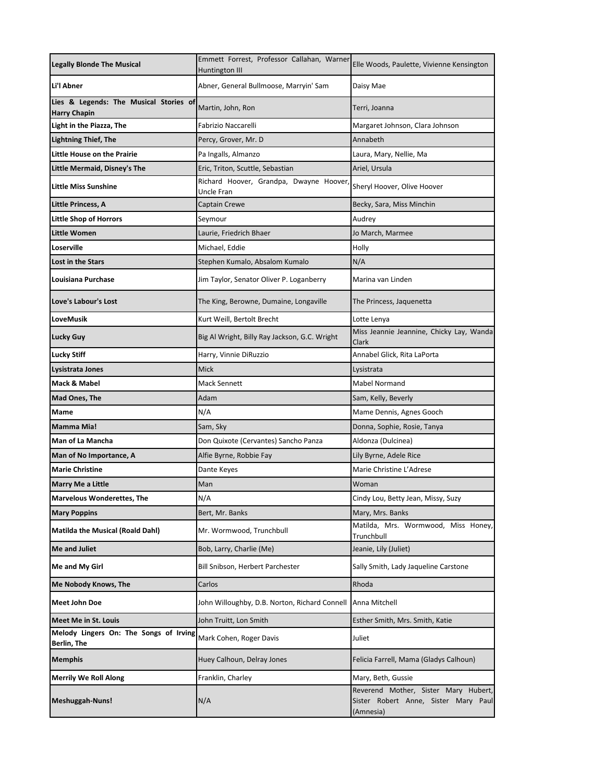| <b>Legally Blonde The Musical</b>                             | Emmett Forrest, Professor Callahan, Warner<br><b>Huntington III</b> | Elle Woods, Paulette, Vivienne Kensington                                                 |
|---------------------------------------------------------------|---------------------------------------------------------------------|-------------------------------------------------------------------------------------------|
| Li'l Abner                                                    | Abner, General Bullmoose, Marryin' Sam                              | Daisy Mae                                                                                 |
| Lies & Legends: The Musical Stories of<br><b>Harry Chapin</b> | Martin, John, Ron                                                   | Terri, Joanna                                                                             |
| Light in the Piazza, The                                      | Fabrizio Naccarelli                                                 | Margaret Johnson, Clara Johnson                                                           |
| <b>Lightning Thief, The</b>                                   | Percy, Grover, Mr. D                                                | Annabeth                                                                                  |
| Little House on the Prairie                                   | Pa Ingalls, Almanzo                                                 | Laura, Mary, Nellie, Ma                                                                   |
| <b>Little Mermaid, Disney's The</b>                           | Eric, Triton, Scuttle, Sebastian                                    | Ariel, Ursula                                                                             |
| <b>Little Miss Sunshine</b>                                   | Richard Hoover, Grandpa, Dwayne Hoover<br>Uncle Fran                | Sheryl Hoover, Olive Hoover                                                               |
| Little Princess, A                                            | Captain Crewe                                                       | Becky, Sara, Miss Minchin                                                                 |
| <b>Little Shop of Horrors</b>                                 | Seymour                                                             | Audrey                                                                                    |
| <b>Little Women</b>                                           | Laurie, Friedrich Bhaer                                             | Jo March, Marmee                                                                          |
| Loserville                                                    | Michael, Eddie                                                      | Holly                                                                                     |
| Lost in the Stars                                             | Stephen Kumalo, Absalom Kumalo                                      | N/A                                                                                       |
| Louisiana Purchase                                            | Jim Taylor, Senator Oliver P. Loganberry                            | Marina van Linden                                                                         |
| Love's Labour's Lost                                          | The King, Berowne, Dumaine, Longaville                              | The Princess, Jaquenetta                                                                  |
| LoveMusik                                                     | Kurt Weill, Bertolt Brecht                                          | Lotte Lenya                                                                               |
| Lucky Guy                                                     | Big Al Wright, Billy Ray Jackson, G.C. Wright                       | Miss Jeannie Jeannine, Chicky Lay, Wanda<br>Clark                                         |
| <b>Lucky Stiff</b>                                            | Harry, Vinnie DiRuzzio                                              | Annabel Glick, Rita LaPorta                                                               |
| Lysistrata Jones                                              | <b>Mick</b>                                                         | Lysistrata                                                                                |
| Mack & Mabel                                                  | Mack Sennett                                                        | Mabel Normand                                                                             |
| Mad Ones, The                                                 | Adam                                                                | Sam, Kelly, Beverly                                                                       |
| Mame                                                          | N/A                                                                 | Mame Dennis, Agnes Gooch                                                                  |
| Mamma Mia!                                                    | Sam, Sky                                                            | Donna, Sophie, Rosie, Tanya                                                               |
| Man of La Mancha                                              | Don Quixote (Cervantes) Sancho Panza                                | Aldonza (Dulcinea)                                                                        |
| Man of No Importance, A                                       | Alfie Byrne, Robbie Fay                                             | Lily Byrne, Adele Rice                                                                    |
| <b>Marie Christine</b>                                        | Dante Keyes                                                         | Marie Christine L'Adrese                                                                  |
| <b>Marry Me a Little</b>                                      | Man                                                                 | Woman                                                                                     |
| <b>Marvelous Wonderettes, The</b>                             | N/A                                                                 | Cindy Lou, Betty Jean, Missy, Suzy                                                        |
| <b>Mary Poppins</b>                                           | Bert, Mr. Banks                                                     | Mary, Mrs. Banks                                                                          |
| <b>Matilda the Musical (Roald Dahl)</b>                       | Mr. Wormwood, Trunchbull                                            | Matilda, Mrs. Wormwood, Miss Honey,<br>Trunchbull                                         |
| Me and Juliet                                                 | Bob, Larry, Charlie (Me)                                            | Jeanie, Lily (Juliet)                                                                     |
| Me and My Girl                                                | Bill Snibson, Herbert Parchester                                    | Sally Smith, Lady Jaqueline Carstone                                                      |
| Me Nobody Knows, The                                          | Carlos                                                              | Rhoda                                                                                     |
| Meet John Doe                                                 | John Willoughby, D.B. Norton, Richard Connell                       | Anna Mitchell                                                                             |
| Meet Me in St. Louis                                          | John Truitt, Lon Smith                                              | Esther Smith, Mrs. Smith, Katie                                                           |
| Melody Lingers On: The Songs of Irving<br>Berlin, The         | Mark Cohen, Roger Davis                                             | Juliet                                                                                    |
| <b>Memphis</b>                                                | Huey Calhoun, Delray Jones                                          | Felicia Farrell, Mama (Gladys Calhoun)                                                    |
| <b>Merrily We Roll Along</b>                                  | Franklin, Charley                                                   | Mary, Beth, Gussie                                                                        |
| Meshuggah-Nuns!                                               | N/A                                                                 | Reverend Mother, Sister Mary Hubert,<br>Sister Robert Anne, Sister Mary Paul<br>(Amnesia) |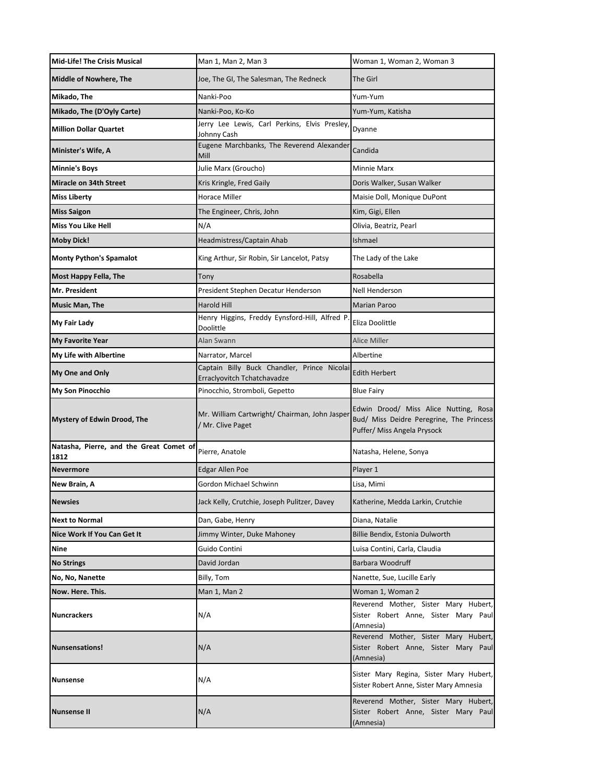| <b>Mid-Life! The Crisis Musical</b>             | Man 1, Man 2, Man 3                                                        | Woman 1, Woman 2, Woman 3                                                                                        |
|-------------------------------------------------|----------------------------------------------------------------------------|------------------------------------------------------------------------------------------------------------------|
| <b>Middle of Nowhere, The</b>                   | Joe, The GI, The Salesman, The Redneck                                     | The Girl                                                                                                         |
| Mikado, The                                     | Nanki-Poo                                                                  | Yum-Yum                                                                                                          |
| Mikado, The (D'Oyly Carte)                      | Nanki-Poo, Ko-Ko                                                           | Yum-Yum, Katisha                                                                                                 |
| <b>Million Dollar Quartet</b>                   | Jerry Lee Lewis, Carl Perkins, Elvis Presley,<br>Johnny Cash               | Dyanne                                                                                                           |
| Minister's Wife, A                              | Eugene Marchbanks, The Reverend Alexander<br>Mill                          | Candida                                                                                                          |
| <b>Minnie's Boys</b>                            | Julie Marx (Groucho)                                                       | <b>Minnie Marx</b>                                                                                               |
| <b>Miracle on 34th Street</b>                   | Kris Kringle, Fred Gaily                                                   | Doris Walker, Susan Walker                                                                                       |
| <b>Miss Liberty</b>                             | Horace Miller                                                              | Maisie Doll, Monique DuPont                                                                                      |
| <b>Miss Saigon</b>                              | The Engineer, Chris, John                                                  | Kim, Gigi, Ellen                                                                                                 |
| Miss You Like Hell                              | N/A                                                                        | Olivia, Beatriz, Pearl                                                                                           |
| <b>Moby Dick!</b>                               | Headmistress/Captain Ahab                                                  | Ishmael                                                                                                          |
| <b>Monty Python's Spamalot</b>                  | King Arthur, Sir Robin, Sir Lancelot, Patsy                                | The Lady of the Lake                                                                                             |
| Most Happy Fella, The                           | Tony                                                                       | Rosabella                                                                                                        |
| Mr. President                                   | President Stephen Decatur Henderson                                        | Nell Henderson                                                                                                   |
| Music Man, The                                  | <b>Harold Hill</b>                                                         | <b>Marian Paroo</b>                                                                                              |
| My Fair Lady                                    | Henry Higgins, Freddy Eynsford-Hill, Alfred P<br>Doolittle                 | Eliza Doolittle                                                                                                  |
| <b>My Favorite Year</b>                         | Alan Swann                                                                 | <b>Alice Miller</b>                                                                                              |
| <b>My Life with Albertine</b>                   | Narrator, Marcel                                                           | Albertine                                                                                                        |
| My One and Only                                 | Captain Billy Buck Chandler, Prince Nicolai<br>Erraclyovitch Tchatchavadze | <b>Edith Herbert</b>                                                                                             |
| My Son Pinocchio                                | Pinocchio, Stromboli, Gepetto                                              | <b>Blue Fairy</b>                                                                                                |
| Mystery of Edwin Drood, The                     | Mr. William Cartwright/ Chairman, John Jasper<br>/ Mr. Clive Paget         | Edwin Drood/ Miss Alice Nutting, Rosa<br>Bud/ Miss Deidre Peregrine, The Princess<br>Puffer/ Miss Angela Prysock |
| Natasha, Pierre, and the Great Comet of<br>1812 | Pierre, Anatole                                                            | Natasha, Helene, Sonya                                                                                           |
| Nevermore                                       | <b>Edgar Allen Poe</b>                                                     | Player 1                                                                                                         |
| New Brain, A                                    | Gordon Michael Schwinn                                                     | Lisa, Mimi                                                                                                       |
| <b>Newsies</b>                                  | Jack Kelly, Crutchie, Joseph Pulitzer, Davey                               | Katherine, Medda Larkin, Crutchie                                                                                |
| <b>Next to Normal</b>                           | Dan, Gabe, Henry                                                           | Diana, Natalie                                                                                                   |
| Nice Work If You Can Get It                     | Jimmy Winter, Duke Mahoney                                                 | Billie Bendix, Estonia Dulworth                                                                                  |
| Nine                                            | Guido Contini                                                              | Luisa Contini, Carla, Claudia                                                                                    |
| <b>No Strings</b>                               | David Jordan                                                               | <b>Barbara Woodruff</b>                                                                                          |
| No, No, Nanette                                 | Billy, Tom                                                                 | Nanette, Sue, Lucille Early                                                                                      |
| Now. Here. This.                                | Man 1, Man 2                                                               | Woman 1, Woman 2                                                                                                 |
| <b>Nuncrackers</b>                              | N/A                                                                        | Reverend Mother, Sister Mary Hubert,<br>Sister Robert Anne, Sister Mary Paul<br>(Amnesia)                        |
| <b>Nunsensations!</b>                           | N/A                                                                        | Reverend Mother, Sister Mary Hubert,<br>Sister Robert Anne, Sister Mary Paul<br>(Amnesia)                        |
| <b>Nunsense</b>                                 | N/A                                                                        | Sister Mary Regina, Sister Mary Hubert,<br>Sister Robert Anne, Sister Mary Amnesia                               |
| <b>Nunsense II</b>                              | N/A                                                                        | Reverend Mother, Sister Mary Hubert,<br>Sister Robert Anne, Sister Mary Paul<br>(Amnesia)                        |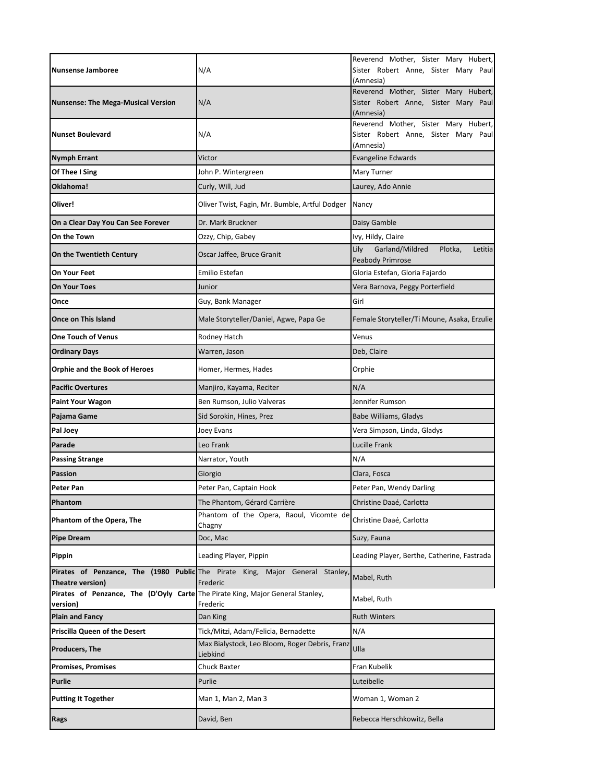| <b>Nunsense Jamboree</b>                                                                   | N/A                                                                                       | Reverend Mother, Sister Mary Hubert,<br>Sister Robert Anne, Sister Mary Paul<br>(Amnesia) |
|--------------------------------------------------------------------------------------------|-------------------------------------------------------------------------------------------|-------------------------------------------------------------------------------------------|
| <b>Nunsense: The Mega-Musical Version</b>                                                  | N/A                                                                                       | Reverend Mother, Sister Mary Hubert,<br>Sister Robert Anne, Sister Mary Paul<br>(Amnesia) |
| <b>Nunset Boulevard</b>                                                                    | N/A                                                                                       | Reverend Mother, Sister Mary Hubert,<br>Sister Robert Anne, Sister Mary Paul<br>(Amnesia) |
| <b>Nymph Errant</b>                                                                        | Victor                                                                                    | <b>Evangeline Edwards</b>                                                                 |
| Of Thee I Sing                                                                             | John P. Wintergreen                                                                       | Mary Turner                                                                               |
| Oklahoma!                                                                                  | Curly, Will, Jud                                                                          | Laurey, Ado Annie                                                                         |
| Oliver!                                                                                    | Oliver Twist, Fagin, Mr. Bumble, Artful Dodger                                            | Nancy                                                                                     |
| On a Clear Day You Can See Forever                                                         | Dr. Mark Bruckner                                                                         | Daisy Gamble                                                                              |
| On the Town                                                                                | Ozzy, Chip, Gabey                                                                         | Ivy, Hildy, Claire                                                                        |
| On the Twentieth Century                                                                   | Oscar Jaffee, Bruce Granit                                                                | Garland/Mildred<br>Plotka,<br>Lily<br>Letitia<br>Peabody Primrose                         |
| On Your Feet                                                                               | Emilio Estefan                                                                            | Gloria Estefan, Gloria Fajardo                                                            |
| <b>On Your Toes</b>                                                                        | Junior                                                                                    | Vera Barnova, Peggy Porterfield                                                           |
| Once                                                                                       | Guy, Bank Manager                                                                         | Girl                                                                                      |
| Once on This Island                                                                        | Male Storyteller/Daniel, Agwe, Papa Ge                                                    | Female Storyteller/Ti Moune, Asaka, Erzulie                                               |
| <b>One Touch of Venus</b>                                                                  | Rodney Hatch                                                                              | Venus                                                                                     |
| <b>Ordinary Days</b>                                                                       | Warren, Jason                                                                             | Deb, Claire                                                                               |
| <b>Orphie and the Book of Heroes</b>                                                       | Homer, Hermes, Hades                                                                      | Orphie                                                                                    |
| <b>Pacific Overtures</b>                                                                   | Manjiro, Kayama, Reciter                                                                  | N/A                                                                                       |
| <b>Paint Your Wagon</b>                                                                    | Ben Rumson, Julio Valveras                                                                | Jennifer Rumson                                                                           |
| Pajama Game                                                                                | Sid Sorokin, Hines, Prez                                                                  | Babe Williams, Gladys                                                                     |
| Pal Joey                                                                                   | Joey Evans                                                                                | Vera Simpson, Linda, Gladys                                                               |
| Parade                                                                                     | Leo Frank                                                                                 | Lucille Frank                                                                             |
| <b>Passing Strange</b>                                                                     | Narrator, Youth                                                                           | N/A                                                                                       |
| <b>Passion</b>                                                                             | Giorgio                                                                                   | Clara, Fosca                                                                              |
| <b>Peter Pan</b>                                                                           | Peter Pan, Captain Hook                                                                   | Peter Pan, Wendy Darling                                                                  |
| Phantom                                                                                    | The Phantom, Gérard Carrière                                                              | Christine Daaé, Carlotta                                                                  |
| Phantom of the Opera, The                                                                  | Phantom of the Opera, Raoul, Vicomte de<br>Chagny                                         | Christine Daaé, Carlotta                                                                  |
| <b>Pipe Dream</b>                                                                          | Doc, Mac                                                                                  | Suzy, Fauna                                                                               |
| Pippin                                                                                     | Leading Player, Pippin                                                                    | Leading Player, Berthe, Catherine, Fastrada                                               |
| Theatre version)                                                                           | Pirates of Penzance, The (1980 Public The Pirate King, Major General Stanley,<br>Frederic | Mabel, Ruth                                                                               |
| Pirates of Penzance, The (D'Oyly Carte The Pirate King, Major General Stanley,<br>version) | Frederic                                                                                  | Mabel, Ruth                                                                               |
| <b>Plain and Fancy</b>                                                                     | Dan King                                                                                  | <b>Ruth Winters</b>                                                                       |
| <b>Priscilla Queen of the Desert</b>                                                       | Tick/Mitzi, Adam/Felicia, Bernadette                                                      | N/A                                                                                       |
| Producers, The                                                                             | Max Bialystock, Leo Bloom, Roger Debris, Franz<br>Liebkind                                | Ulla                                                                                      |
| <b>Promises, Promises</b>                                                                  | Chuck Baxter                                                                              | Fran Kubelik                                                                              |
| Purlie                                                                                     | Purlie                                                                                    | Luteibelle                                                                                |
| <b>Putting It Together</b>                                                                 | Man 1, Man 2, Man 3                                                                       | Woman 1, Woman 2                                                                          |
| Rags                                                                                       | David, Ben                                                                                | Rebecca Herschkowitz, Bella                                                               |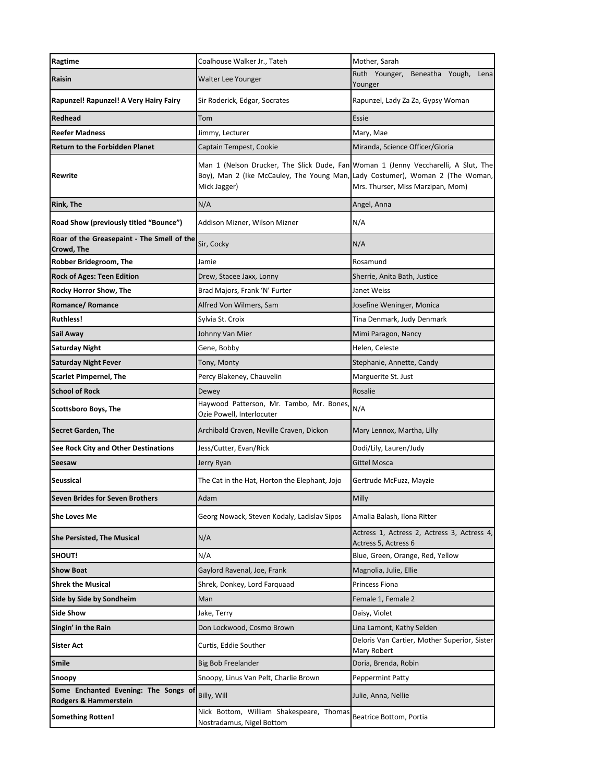| Ragtime                                                       | Coalhouse Walker Jr., Tateh                                                                                                                                                         | Mother, Sarah                                                       |
|---------------------------------------------------------------|-------------------------------------------------------------------------------------------------------------------------------------------------------------------------------------|---------------------------------------------------------------------|
| Raisin                                                        | Walter Lee Younger                                                                                                                                                                  | Ruth Younger,<br>Beneatha Yough,<br>Lena<br>Younger                 |
| Rapunzel! Rapunzel! A Very Hairy Fairy                        | Sir Roderick, Edgar, Socrates                                                                                                                                                       | Rapunzel, Lady Za Za, Gypsy Woman                                   |
| Redhead                                                       | Tom                                                                                                                                                                                 | Essie                                                               |
| <b>Reefer Madness</b>                                         | Jimmy, Lecturer                                                                                                                                                                     | Mary, Mae                                                           |
| <b>Return to the Forbidden Planet</b>                         | Captain Tempest, Cookie                                                                                                                                                             | Miranda, Science Officer/Gloria                                     |
| Rewrite                                                       | Man 1 (Nelson Drucker, The Slick Dude, Fan Woman 1 (Jenny Veccharelli, A Slut, The<br>Boy), Man 2 (Ike McCauley, The Young Man, Lady Costumer), Woman 2 (The Woman,<br>Mick Jagger) | Mrs. Thurser, Miss Marzipan, Mom)                                   |
| <b>Rink, The</b>                                              | N/A                                                                                                                                                                                 | Angel, Anna                                                         |
| Road Show (previously titled "Bounce")                        | Addison Mizner, Wilson Mizner                                                                                                                                                       | N/A                                                                 |
| Roar of the Greasepaint - The Smell of the<br>Crowd, The      | Sir, Cocky                                                                                                                                                                          | N/A                                                                 |
| Robber Bridegroom, The                                        | Jamie                                                                                                                                                                               | Rosamund                                                            |
| <b>Rock of Ages: Teen Edition</b>                             | Drew, Stacee Jaxx, Lonny                                                                                                                                                            | Sherrie, Anita Bath, Justice                                        |
| <b>Rocky Horror Show, The</b>                                 | Brad Majors, Frank 'N' Furter                                                                                                                                                       | Janet Weiss                                                         |
| Romance/Romance                                               | Alfred Von Wilmers, Sam                                                                                                                                                             | Josefine Weninger, Monica                                           |
| <b>Ruthless!</b>                                              | Sylvia St. Croix                                                                                                                                                                    | Tina Denmark, Judy Denmark                                          |
| Sail Away                                                     | Johnny Van Mier                                                                                                                                                                     | Mimi Paragon, Nancy                                                 |
| Saturday Night                                                | Gene, Bobby                                                                                                                                                                         | Helen, Celeste                                                      |
| <b>Saturday Night Fever</b>                                   | Tony, Monty                                                                                                                                                                         | Stephanie, Annette, Candy                                           |
| <b>Scarlet Pimpernel, The</b>                                 | Percy Blakeney, Chauvelin                                                                                                                                                           | Marguerite St. Just                                                 |
| School of Rock                                                | Dewey                                                                                                                                                                               | Rosalie                                                             |
| Scottsboro Boys, The                                          | Haywood Patterson, Mr. Tambo, Mr. Bones,<br>Ozie Powell, Interlocuter                                                                                                               | N/A                                                                 |
| <b>Secret Garden, The</b>                                     | Archibald Craven, Neville Craven, Dickon                                                                                                                                            | Mary Lennox, Martha, Lilly                                          |
| <b>See Rock City and Other Destinations</b>                   | Jess/Cutter, Evan/Rick                                                                                                                                                              | Dodi/Lily, Lauren/Judy                                              |
| Seesaw                                                        | Jerry Ryan                                                                                                                                                                          | <b>Gittel Mosca</b>                                                 |
| Seussical                                                     | The Cat in the Hat, Horton the Elephant, Jojo                                                                                                                                       | Gertrude McFuzz, Mayzie                                             |
| <b>Seven Brides for Seven Brothers</b>                        | Adam                                                                                                                                                                                | Milly                                                               |
| <b>She Loves Me</b>                                           | Georg Nowack, Steven Kodaly, Ladislav Sipos                                                                                                                                         | Amalia Balash, Ilona Ritter                                         |
| <b>She Persisted, The Musical</b>                             | N/A                                                                                                                                                                                 | Actress 1, Actress 2, Actress 3, Actress 4,<br>Actress 5, Actress 6 |
| <b>SHOUT!</b>                                                 | N/A                                                                                                                                                                                 | Blue, Green, Orange, Red, Yellow                                    |
| <b>Show Boat</b>                                              | Gaylord Ravenal, Joe, Frank                                                                                                                                                         | Magnolia, Julie, Ellie                                              |
| <b>Shrek the Musical</b>                                      | Shrek, Donkey, Lord Farquaad                                                                                                                                                        | Princess Fiona                                                      |
| Side by Side by Sondheim                                      | Man                                                                                                                                                                                 | Female 1, Female 2                                                  |
| Side Show                                                     | Jake, Terry                                                                                                                                                                         | Daisy, Violet                                                       |
| Singin' in the Rain                                           | Don Lockwood, Cosmo Brown                                                                                                                                                           | Lina Lamont, Kathy Selden                                           |
| Sister Act                                                    | Curtis, Eddie Souther                                                                                                                                                               | Deloris Van Cartier, Mother Superior, Sister<br>Mary Robert         |
| Smile                                                         | <b>Big Bob Freelander</b>                                                                                                                                                           | Doria, Brenda, Robin                                                |
| Snoopy                                                        | Snoopy, Linus Van Pelt, Charlie Brown                                                                                                                                               | Peppermint Patty                                                    |
| Some Enchanted Evening: The Songs of<br>Rodgers & Hammerstein | Billy, Will                                                                                                                                                                         | Julie, Anna, Nellie                                                 |
| <b>Something Rotten!</b>                                      | Nick Bottom, William Shakespeare, Thomas<br>Nostradamus, Nigel Bottom                                                                                                               | Beatrice Bottom, Portia                                             |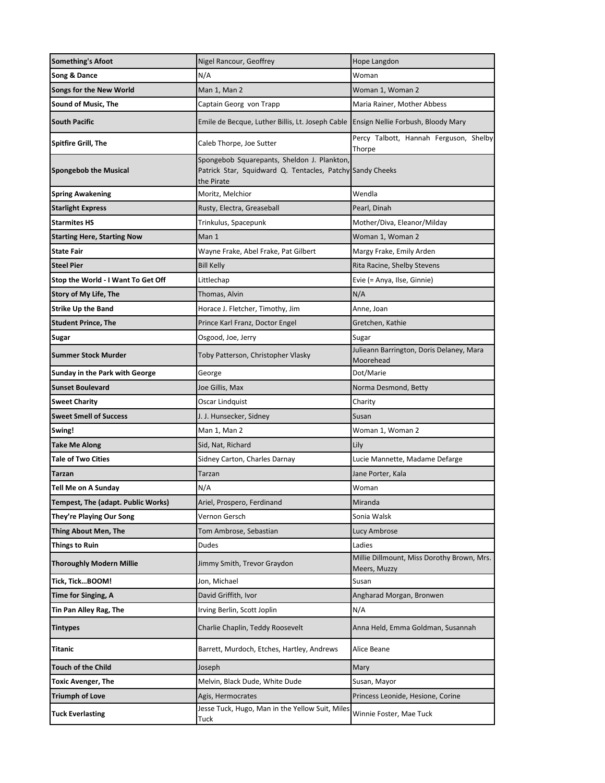| <b>Something's Afoot</b>           | Nigel Rancour, Geoffrey                                                                                                | Hope Langdon                                          |
|------------------------------------|------------------------------------------------------------------------------------------------------------------------|-------------------------------------------------------|
| Song & Dance                       | N/A                                                                                                                    | Woman                                                 |
| <b>Songs for the New World</b>     | Man 1, Man 2                                                                                                           | Woman 1, Woman 2                                      |
| <b>Sound of Music, The</b>         | Captain Georg von Trapp                                                                                                | Maria Rainer, Mother Abbess                           |
| <b>South Pacific</b>               | Emile de Becque, Luther Billis, Lt. Joseph Cable                                                                       | Ensign Nellie Forbush, Bloody Mary                    |
| Spitfire Grill, The                | Caleb Thorpe, Joe Sutter                                                                                               | Percy Talbott, Hannah Ferguson, Shelby<br>Thorpe      |
| <b>Spongebob the Musical</b>       | Spongebob Squarepants, Sheldon J. Plankton,<br>Patrick Star, Squidward Q. Tentacles, Patchy Sandy Cheeks<br>the Pirate |                                                       |
| <b>Spring Awakening</b>            | Moritz, Melchior                                                                                                       | Wendla                                                |
| <b>Starlight Express</b>           | Rusty, Electra, Greaseball                                                                                             | Pearl, Dinah                                          |
| <b>Starmites HS</b>                | Trinkulus, Spacepunk                                                                                                   | Mother/Diva, Eleanor/Milday                           |
| Starting Here, Starting Now        | Man 1                                                                                                                  | Woman 1, Woman 2                                      |
| <b>State Fair</b>                  | Wayne Frake, Abel Frake, Pat Gilbert                                                                                   | Margy Frake, Emily Arden                              |
| <b>Steel Pier</b>                  | <b>Bill Kelly</b>                                                                                                      | Rita Racine, Shelby Stevens                           |
| Stop the World - I Want To Get Off | Littlechap                                                                                                             | Evie (= Anya, Ilse, Ginnie)                           |
| Story of My Life, The              | Thomas, Alvin                                                                                                          | N/A                                                   |
| <b>Strike Up the Band</b>          | Horace J. Fletcher, Timothy, Jim                                                                                       | Anne, Joan                                            |
| Student Prince, The                | Prince Karl Franz, Doctor Engel                                                                                        | Gretchen, Kathie                                      |
| Sugar                              | Osgood, Joe, Jerry                                                                                                     | Sugar                                                 |
| Summer Stock Murder                | Toby Patterson, Christopher Vlasky                                                                                     | Julieann Barrington, Doris Delaney, Mara<br>Moorehead |
| Sunday in the Park with George     | George                                                                                                                 | Dot/Marie                                             |
| <b>Sunset Boulevard</b>            | Joe Gillis, Max                                                                                                        | Norma Desmond, Betty                                  |
| <b>Sweet Charity</b>               | Oscar Lindquist                                                                                                        | Charity                                               |
| <b>Sweet Smell of Success</b>      | J. J. Hunsecker, Sidney                                                                                                | Susan                                                 |
| Swing!                             | Man 1, Man 2                                                                                                           | Woman 1, Woman 2                                      |
| Take Me Along                      | Sid, Nat, Richard                                                                                                      | Lily                                                  |
| <b>Tale of Two Cities</b>          | Sidney Carton, Charles Darnay                                                                                          | Lucie Mannette, Madame Defarge                        |
| Tarzan                             | Tarzan                                                                                                                 | Jane Porter, Kala                                     |
| Tell Me on A Sunday                | N/A                                                                                                                    | Woman                                                 |
| Tempest, The (adapt. Public Works) | Ariel, Prospero, Ferdinand                                                                                             | Miranda                                               |
| They're Playing Our Song           | Vernon Gersch                                                                                                          | Sonia Walsk                                           |
| Thing About Men, The               | Tom Ambrose, Sebastian                                                                                                 | Lucy Ambrose                                          |
| <b>Things to Ruin</b>              | Dudes                                                                                                                  | Ladies<br>Millie Dillmount, Miss Dorothy Brown, Mrs.  |
| <b>Thoroughly Modern Millie</b>    | Jimmy Smith, Trevor Graydon                                                                                            | Meers, Muzzy                                          |
| Tick, TickBOOM!                    | Jon, Michael                                                                                                           | Susan                                                 |
| <b>Time for Singing, A</b>         | David Griffith, Ivor                                                                                                   | Angharad Morgan, Bronwen                              |
| Tin Pan Alley Rag, The             | Irving Berlin, Scott Joplin                                                                                            | N/A                                                   |
| Tintypes                           | Charlie Chaplin, Teddy Roosevelt                                                                                       | Anna Held, Emma Goldman, Susannah                     |
| Titanic                            | Barrett, Murdoch, Etches, Hartley, Andrews                                                                             | Alice Beane                                           |
| Touch of the Child                 | Joseph                                                                                                                 | Mary                                                  |
| Toxic Avenger, The                 | Melvin, Black Dude, White Dude                                                                                         | Susan, Mayor                                          |
| Triumph of Love                    | Agis, Hermocrates                                                                                                      | Princess Leonide, Hesione, Corine                     |
| <b>Tuck Everlasting</b>            | Jesse Tuck, Hugo, Man in the Yellow Suit, Miles<br>Tuck                                                                | Winnie Foster, Mae Tuck                               |